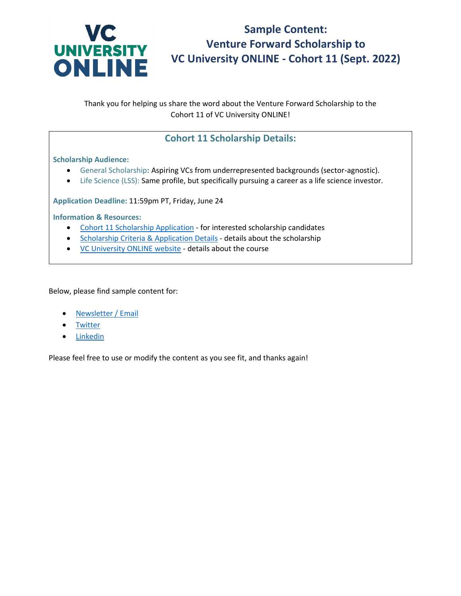

**Sample Content: Venture Forward Scholarship to VC University ONLINE - Cohort 11 (Sept. 2022)**

Thank you for helping us share the word about the Venture Forward Scholarship to the Cohort 11 of VC University ONLINE!

# **Cohort 11 Scholarship Details:**

## **Scholarship Audience:**

- General Scholarship**:** Aspiring VCs from underrepresented backgrounds (sector-agnostic).
- Life Science (LSS): Same profile, but specifically pursuing a career as a life science investor.

**Application Deadline:** 11:59pm PT, Friday, June 24

### **Information & Resources:**

- [Cohort 11 Scholarship Application](https://forms.gle/63DU5zjQEdGKK3nT6) for interested scholarship candidates
- [Scholarship Criteria & Application Details](https://venturecapitaluniversity.com/scholarship/online/) details about the scholarship
- [VC University ONLINE website](https://venturecapitaluniversity.com/online-course/) details about the course

Below, please find sample content for:

- [Newsletter / Email](#page-1-0)
- **[Twitter](#page-2-0)**
- [Linkedin](#page-3-0)

Please feel free to use or modify the content as you see fit, and thanks again!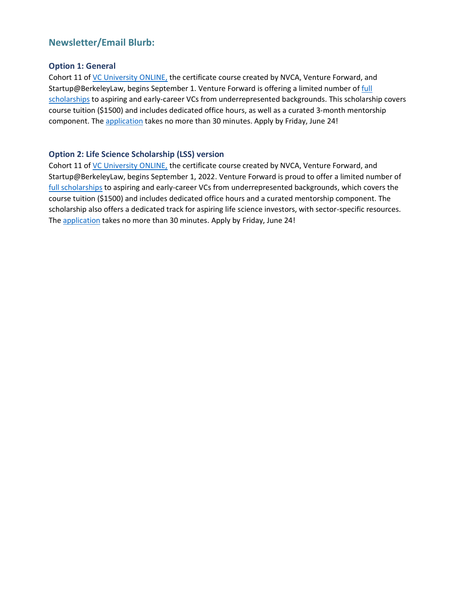## <span id="page-1-0"></span>**Newsletter/Email Blurb:**

### **Option 1: General**

Cohort 11 of [VC University ONLINE,](https://venturecapitaluniversity.com/online-course/) the certificate course created by NVCA, Venture Forward, and Startup@BerkeleyLaw, begins September 1. Venture Forward is offering a limited number of [full](https://venturecapitaluniversity.com/scholarship/online/)  [scholarships](https://venturecapitaluniversity.com/scholarship/online/) to aspiring and early-career VCs from underrepresented backgrounds. This scholarship covers course tuition (\$1500) and includes dedicated office hours, as well as a curated 3-month mentorship component. Th[e application](https://forms.gle/63DU5zjQEdGKK3nT6) takes no more than 30 minutes. Apply by Friday, June 24!

## **Option 2: Life Science Scholarship (LSS) version**

Cohort 11 of [VC University ONLINE,](https://venturecapitaluniversity.com/online-course/) the certificate course created by NVCA, Venture Forward, and Startup@BerkeleyLaw, begins September 1, 2022. Venture Forward is proud to offer a limited number of [full scholarships](https://venturecapitaluniversity.com/scholarship/online/) to aspiring and early-career VCs from underrepresented backgrounds, which covers the course tuition (\$1500) and includes dedicated office hours and a curated mentorship component. The scholarship also offers a dedicated track for aspiring life science investors, with sector-specific resources. The [application](https://forms.gle/63DU5zjQEdGKK3nT6) takes no more than 30 minutes. Apply by Friday, June 24!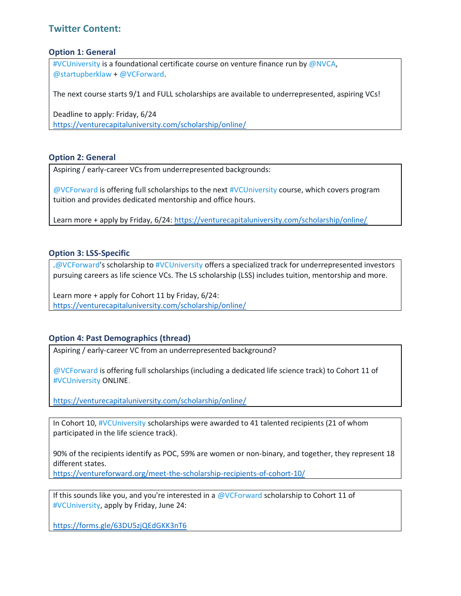## <span id="page-2-0"></span>**Twitter Content:**

#### **Option 1: General**

#VCUniversity is a foundational certificate course on venture finance run by @NVCA, @startupberklaw + @VCForward.

The next course starts 9/1 and FULL scholarships are available to underrepresented, aspiring VCs!

Deadline to apply: Friday, 6/24 <https://venturecapitaluniversity.com/scholarship/online/>

### **Option 2: General**

Aspiring / early-career VCs from underrepresented backgrounds:

@VCForward is offering full scholarships to the next #VCUniversity course, which covers program tuition and provides dedicated mentorship and office hours.

Learn more + apply by Friday, 6/24:<https://venturecapitaluniversity.com/scholarship/online/>

#### **Option 3: LSS-Specific**

.@VCForward's scholarship to #VCUniversity offers a specialized track for underrepresented investors pursuing careers as life science VCs. The LS scholarship (LSS) includes tuition, mentorship and more.

Learn more + apply for Cohort 11 by Friday, 6/24: <https://venturecapitaluniversity.com/scholarship/online/>

#### **Option 4: Past Demographics (thread)**

Aspiring / early-career VC from an underrepresented background?

@VCForward is offering full scholarships (including a dedicated life science track) to Cohort 11 of #VCUniversity ONLINE.

<https://venturecapitaluniversity.com/scholarship/online/>

In Cohort 10, #VCUniversity scholarships were awarded to 41 talented recipients (21 of whom participated in the life science track).

90% of the recipients identify as POC, 59% are women or non-binary, and together, they represent 18 different states.

<https://ventureforward.org/meet-the-scholarship-recipients-of-cohort-10/>

If this sounds like you, and you're interested in a @VCForward scholarship to Cohort 11 of #VCUniversity, apply by Friday, June 24:

<https://forms.gle/63DU5zjQEdGKK3nT6>